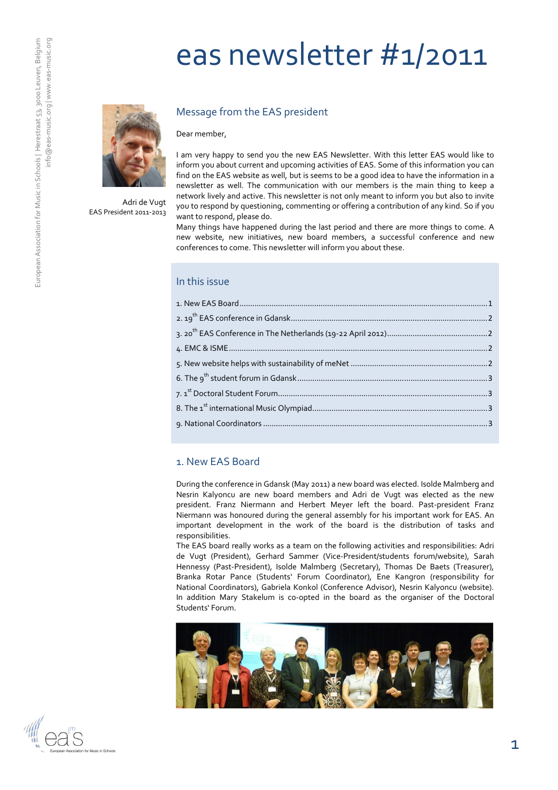# eas newsletter #1/2011



Adri de Vugt EAS President 2011-2013

#### Message from the EAS president

Dear member,

I am very happy to send you the new EAS Newsletter. With this letter EAS would like to inform you about current and upcoming activities of EAS. Some of this information you can find on the EAS website as well, but is seems to be a good idea to have the information in a newsletter as well. The communication with our members is the main thing to keep a network lively and active. This newsletter is not only meant to inform you but also to invite you to respond by questioning, commenting or offering a contribution of any kind. So if you want to respond, please do.

Many things have happened during the last period and there are more things to come. A new website, new initiatives, new board members, a successful conference and new conferences to come. This newsletter will inform you about these.

#### In this issue

#### 1. New EAS Board

During the conference in Gdansk (May 2011) a new board was elected. Isolde Malmberg and Nesrin Kalyoncu are new board members and Adri de Vugt was elected as the new president. Franz Niermann and Herbert Meyer left the board. Past-president Franz Niermann was honoured during the general assembly for his important work for EAS. An important development in the work of the board is the distribution of tasks and responsibilities.

The EAS board really works as a team on the following activities and responsibilities: Adri de Vugt (President), Gerhard Sammer (Vice-President/students forum/website), Sarah Hennessy (Past-President), Isolde Malmberg (Secretary), Thomas De Baets (Treasurer), Branka Rotar Pance (Students' Forum Coordinator), Ene Kangron (responsibility for National Coordinators), Gabriela Konkol (Conference Advisor), Nesrin Kalyoncu (website). In addition Mary Stakelum is co-opted in the board as the organiser of the Doctoral Students' Forum.



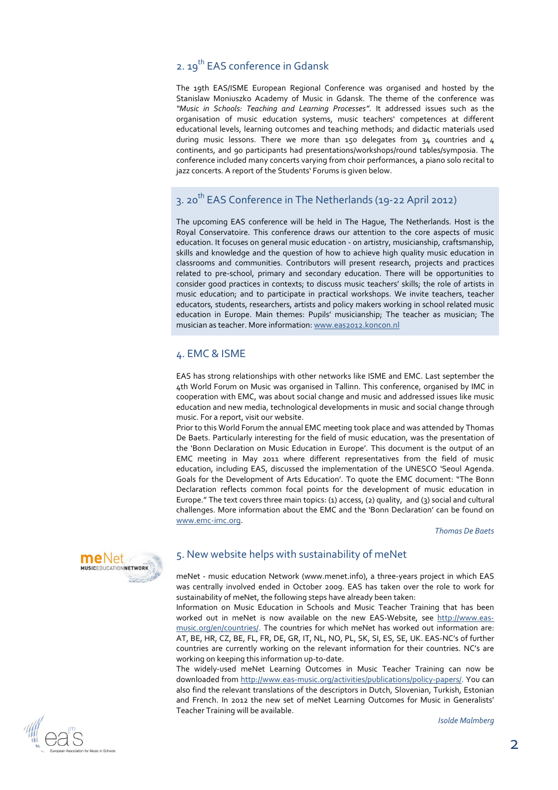# 2. 19<sup>th</sup> EAS conference in Gdansk

The 19th EAS/ISME European Regional Conference was organised and hosted by the Stanislaw Moniuszko Academy of Music in Gdansk. The theme of the conference was "Music in Schools: Teaching and Learning Processes". It addressed issues such as the organisation of music education systems, music teachers' competences at different educational levels, learning outcomes and teaching methods; and didactic materials used during music lessons. There we more than 150 delegates from 34 countries and 4 continents, and 90 participants had presentations/workshops/round tables/symposia. The conference included many concerts varying from choir performances, a piano solo recital to jazz concerts. A report of the Students' Forums is given below.

# 3. 20<sup>th</sup> EAS Conference in The Netherlands (19-22 April 2012)

The upcoming EAS conference will be held in The Hague, The Netherlands. Host is the Royal Conservatoire. This conference draws our attention to the core aspects of music education. It focuses on general music education - on artistry, musicianship, craftsmanship, skills and knowledge and the question of how to achieve high quality music education in classrooms and communities. Contributors will present research, projects and practices related to pre-school, primary and secondary education. There will be opportunities to consider good practices in contexts; to discuss music teachers' skills; the role of artists in music education; and to participate in practical workshops. We invite teachers, teacher educators, students, researchers, artists and policy makers working in school related music education in Europe. Main themes: Pupils' musicianship; The teacher as musician; The musician as teacher. More information: www.eas2012.koncon.nl

#### 4. EMC & ISME

EAS has strong relationships with other networks like ISME and EMC. Last september the 4th World Forum on Music was organised in Tallinn. This conference, organised by IMC in cooperation with EMC, was about social change and music and addressed issues like music education and new media, technological developments in music and social change through music. For a report, visit our website.

Prior to this World Forum the annual EMC meeting took place and was attended by Thomas De Baets. Particularly interesting for the field of music education, was the presentation of the 'Bonn Declaration on Music Education in Europe'. This document is the output of an EMC meeting in May 2011 where different representatives from the field of music education, including EAS, discussed the implementation of the UNESCO 'Seoul Agenda. Goals for the Development of Arts Education'. To quote the EMC document: "The Bonn Declaration reflects common focal points for the development of music education in Europe." The text covers three main topics: (1) access, (2) quality, and (3) social and cultural challenges. More information about the EMC and the 'Bonn Declaration' can be found on www.emc-imc.org.

Thomas De Baets



### 5. New website helps with sustainability of meNet

meNet - music education Network (www.menet.info), a three-years project in which EAS was centrally involved ended in October 2009. EAS has taken over the role to work for sustainability of meNet, the following steps have already been taken:

Information on Music Education in Schools and Music Teacher Training that has been worked out in meNet is now available on the new EAS-Website, see http://www.easmusic.org/en/countries/. The countries for which meNet has worked out information are: AT, BE, HR, CZ, BE, FL, FR, DE, GR, IT, NL, NO, PL, SK, SI, ES, SE, UK. EAS-NC's of further countries are currently working on the relevant information for their countries. NC's are working on keeping this information up-to-date.

The widely-used meNet Learning Outcomes in Music Teacher Training can now be downloaded from http://www.eas-music.org/activities/publications/policy-papers/. You can also find the relevant translations of the descriptors in Dutch, Slovenian, Turkish, Estonian and French. In 2012 the new set of meNet Learning Outcomes for Music in Generalists' Teacher Training will be available.